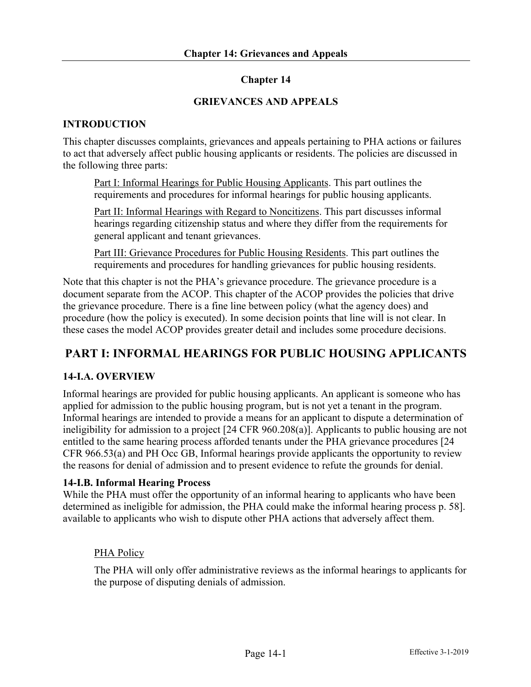### **Chapter 14**

#### **GRIEVANCES AND APPEALS**

#### **INTRODUCTION**

This chapter discusses complaints, grievances and appeals pertaining to PHA actions or failures to act that adversely affect public housing applicants or residents. The policies are discussed in the following three parts:

Part I: Informal Hearings for Public Housing Applicants. This part outlines the requirements and procedures for informal hearings for public housing applicants.

Part II: Informal Hearings with Regard to Noncitizens. This part discusses informal hearings regarding citizenship status and where they differ from the requirements for general applicant and tenant grievances.

Part III: Grievance Procedures for Public Housing Residents. This part outlines the requirements and procedures for handling grievances for public housing residents.

Note that this chapter is not the PHA's grievance procedure. The grievance procedure is a document separate from the ACOP. This chapter of the ACOP provides the policies that drive the grievance procedure. There is a fine line between policy (what the agency does) and procedure (how the policy is executed). In some decision points that line will is not clear. In these cases the model ACOP provides greater detail and includes some procedure decisions.

# **PART I: INFORMAL HEARINGS FOR PUBLIC HOUSING APPLICANTS**

#### **14-I.A. OVERVIEW**

Informal hearings are provided for public housing applicants. An applicant is someone who has applied for admission to the public housing program, but is not yet a tenant in the program. Informal hearings are intended to provide a means for an applicant to dispute a determination of ineligibility for admission to a project [24 CFR 960.208(a)]. Applicants to public housing are not entitled to the same hearing process afforded tenants under the PHA grievance procedures [24 CFR 966.53(a) and PH Occ GB, Informal hearings provide applicants the opportunity to review the reasons for denial of admission and to present evidence to refute the grounds for denial.

#### **14-I.B. Informal Hearing Process**

While the PHA must offer the opportunity of an informal hearing to applicants who have been determined as ineligible for admission, the PHA could make the informal hearing process p. 58]. available to applicants who wish to dispute other PHA actions that adversely affect them.

#### PHA Policy

The PHA will only offer administrative reviews as the informal hearings to applicants for the purpose of disputing denials of admission.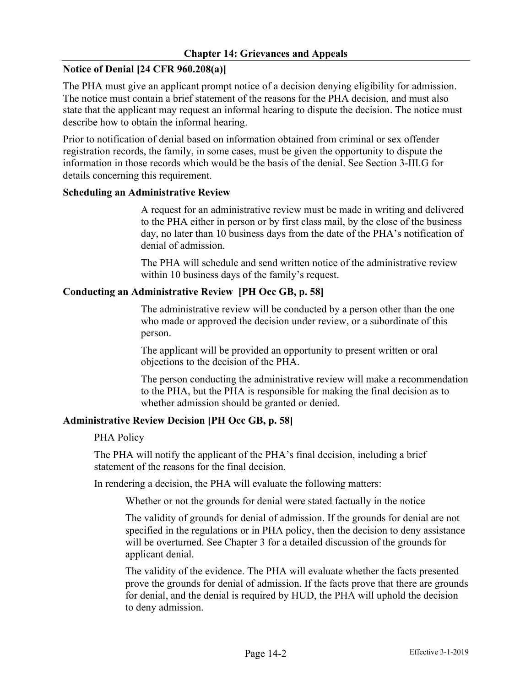### **Notice of Denial [24 CFR 960.208(a)]**

The PHA must give an applicant prompt notice of a decision denying eligibility for admission. The notice must contain a brief statement of the reasons for the PHA decision, and must also state that the applicant may request an informal hearing to dispute the decision. The notice must describe how to obtain the informal hearing.

Prior to notification of denial based on information obtained from criminal or sex offender registration records, the family, in some cases, must be given the opportunity to dispute the information in those records which would be the basis of the denial. See Section 3-III.G for details concerning this requirement.

#### **Scheduling an Administrative Review**

A request for an administrative review must be made in writing and delivered to the PHA either in person or by first class mail, by the close of the business day, no later than 10 business days from the date of the PHA's notification of denial of admission.

The PHA will schedule and send written notice of the administrative review within 10 business days of the family's request.

### **Conducting an Administrative Review [PH Occ GB, p. 58]**

The administrative review will be conducted by a person other than the one who made or approved the decision under review, or a subordinate of this person.

The applicant will be provided an opportunity to present written or oral objections to the decision of the PHA.

The person conducting the administrative review will make a recommendation to the PHA, but the PHA is responsible for making the final decision as to whether admission should be granted or denied.

### **Administrative Review Decision [PH Occ GB, p. 58]**

#### PHA Policy

The PHA will notify the applicant of the PHA's final decision, including a brief statement of the reasons for the final decision.

In rendering a decision, the PHA will evaluate the following matters:

Whether or not the grounds for denial were stated factually in the notice

The validity of grounds for denial of admission. If the grounds for denial are not specified in the regulations or in PHA policy, then the decision to deny assistance will be overturned. See Chapter 3 for a detailed discussion of the grounds for applicant denial.

The validity of the evidence. The PHA will evaluate whether the facts presented prove the grounds for denial of admission. If the facts prove that there are grounds for denial, and the denial is required by HUD, the PHA will uphold the decision to deny admission.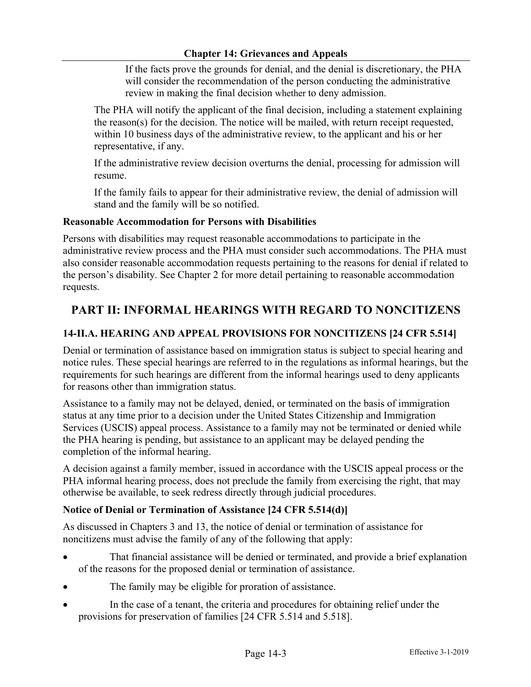If the facts prove the grounds for denial, and the denial is discretionary, the PHA will consider the recommendation of the person conducting the administrative review in making the final decision whether to deny admission.

The PHA will notify the applicant of the final decision, including a statement explaining the reason(s) for the decision. The notice will be mailed, with return receipt requested, within 10 business days of the administrative review, to the applicant and his or her representative, if any.

If the administrative review decision overturns the denial, processing for admission will resume.

If the family fails to appear for their administrative review, the denial of admission will stand and the family will be so notified.

#### **Reasonable Accommodation for Persons with Disabilities**

Persons with disabilities may request reasonable accommodations to participate in the administrative review process and the PHA must consider such accommodations. The PHA must also consider reasonable accommodation requests pertaining to the reasons for denial if related to the person's disability. See Chapter 2 for more detail pertaining to reasonable accommodation requests.

# **PART II: INFORMAL HEARINGS WITH REGARD TO NONCITIZENS**

### **14-II.A. HEARING AND APPEAL PROVISIONS FOR NONCITIZENS [24 CFR 5.514]**

Denial or termination of assistance based on immigration status is subject to special hearing and notice rules. These special hearings are referred to in the regulations as informal hearings, but the requirements for such hearings are different from the informal hearings used to deny applicants for reasons other than immigration status.

Assistance to a family may not be delayed, denied, or terminated on the basis of immigration status at any time prior to a decision under the United States Citizenship and Immigration Services (USCIS) appeal process. Assistance to a family may not be terminated or denied while the PHA hearing is pending, but assistance to an applicant may be delayed pending the completion of the informal hearing.

A decision against a family member, issued in accordance with the USCIS appeal process or the PHA informal hearing process, does not preclude the family from exercising the right, that may otherwise be available, to seek redress directly through judicial procedures.

### **Notice of Denial or Termination of Assistance [24 CFR 5.514(d)]**

As discussed in Chapters 3 and 13, the notice of denial or termination of assistance for noncitizens must advise the family of any of the following that apply:

- That financial assistance will be denied or terminated, and provide a brief explanation of the reasons for the proposed denial or termination of assistance.
- The family may be eligible for proration of assistance.
- In the case of a tenant, the criteria and procedures for obtaining relief under the provisions for preservation of families [24 CFR 5.514 and 5.518].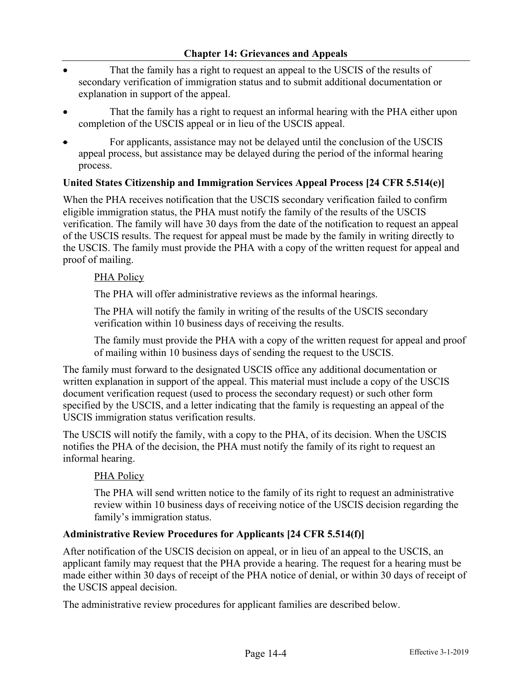- That the family has a right to request an appeal to the USCIS of the results of secondary verification of immigration status and to submit additional documentation or explanation in support of the appeal.
- That the family has a right to request an informal hearing with the PHA either upon completion of the USCIS appeal or in lieu of the USCIS appeal.
- For applicants, assistance may not be delayed until the conclusion of the USCIS appeal process, but assistance may be delayed during the period of the informal hearing process.

#### **United States Citizenship and Immigration Services Appeal Process [24 CFR 5.514(e)]**

When the PHA receives notification that the USCIS secondary verification failed to confirm eligible immigration status, the PHA must notify the family of the results of the USCIS verification. The family will have 30 days from the date of the notification to request an appeal of the USCIS results. The request for appeal must be made by the family in writing directly to the USCIS. The family must provide the PHA with a copy of the written request for appeal and proof of mailing.

#### PHA Policy

The PHA will offer administrative reviews as the informal hearings.

The PHA will notify the family in writing of the results of the USCIS secondary verification within 10 business days of receiving the results.

The family must provide the PHA with a copy of the written request for appeal and proof of mailing within 10 business days of sending the request to the USCIS.

The family must forward to the designated USCIS office any additional documentation or written explanation in support of the appeal. This material must include a copy of the USCIS document verification request (used to process the secondary request) or such other form specified by the USCIS, and a letter indicating that the family is requesting an appeal of the USCIS immigration status verification results.

The USCIS will notify the family, with a copy to the PHA, of its decision. When the USCIS notifies the PHA of the decision, the PHA must notify the family of its right to request an informal hearing.

### PHA Policy

The PHA will send written notice to the family of its right to request an administrative review within 10 business days of receiving notice of the USCIS decision regarding the family's immigration status.

#### **Administrative Review Procedures for Applicants [24 CFR 5.514(f)]**

After notification of the USCIS decision on appeal, or in lieu of an appeal to the USCIS, an applicant family may request that the PHA provide a hearing. The request for a hearing must be made either within 30 days of receipt of the PHA notice of denial, or within 30 days of receipt of the USCIS appeal decision.

The administrative review procedures for applicant families are described below.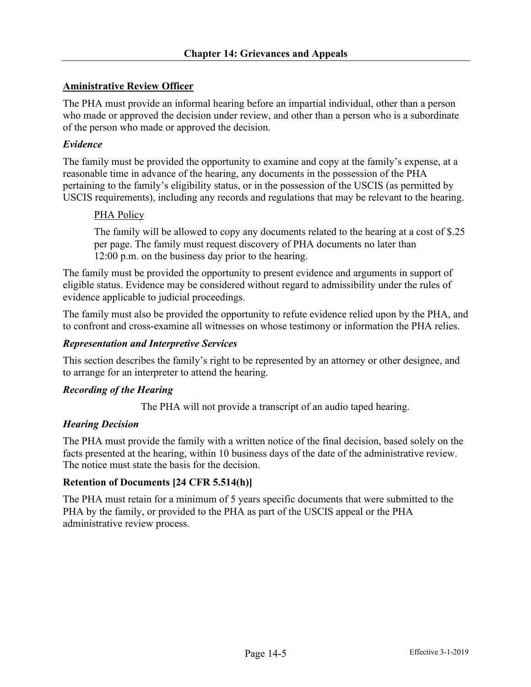### **Aministrative Review Officer**

The PHA must provide an informal hearing before an impartial individual, other than a person who made or approved the decision under review, and other than a person who is a subordinate of the person who made or approved the decision.

#### *Evidence*

The family must be provided the opportunity to examine and copy at the family's expense, at a reasonable time in advance of the hearing, any documents in the possession of the PHA pertaining to the family's eligibility status, or in the possession of the USCIS (as permitted by USCIS requirements), including any records and regulations that may be relevant to the hearing.

#### PHA Policy

The family will be allowed to copy any documents related to the hearing at a cost of \$.25 per page. The family must request discovery of PHA documents no later than 12:00 p.m. on the business day prior to the hearing.

The family must be provided the opportunity to present evidence and arguments in support of eligible status. Evidence may be considered without regard to admissibility under the rules of evidence applicable to judicial proceedings.

The family must also be provided the opportunity to refute evidence relied upon by the PHA, and to confront and cross-examine all witnesses on whose testimony or information the PHA relies.

#### *Representation and Interpretive Services*

This section describes the family's right to be represented by an attorney or other designee, and to arrange for an interpreter to attend the hearing.

#### *Recording of the Hearing*

The PHA will not provide a transcript of an audio taped hearing.

#### *Hearing Decision*

The PHA must provide the family with a written notice of the final decision, based solely on the facts presented at the hearing, within 10 business days of the date of the administrative review. The notice must state the basis for the decision.

#### **Retention of Documents [24 CFR 5.514(h)]**

The PHA must retain for a minimum of 5 years specific documents that were submitted to the PHA by the family, or provided to the PHA as part of the USCIS appeal or the PHA administrative review process.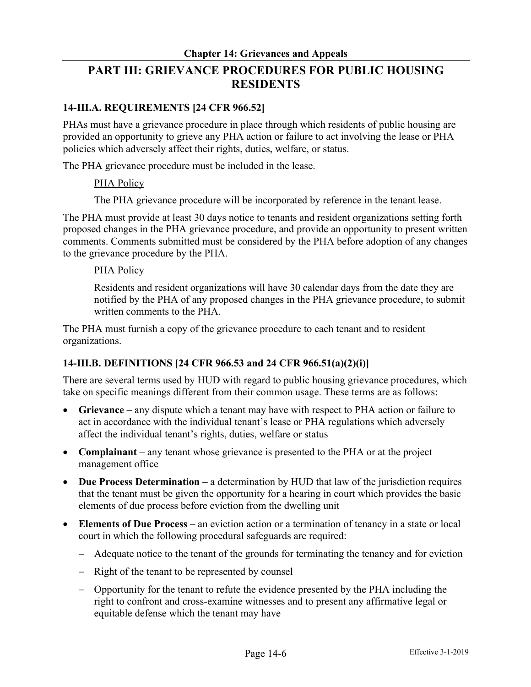# **PART III: GRIEVANCE PROCEDURES FOR PUBLIC HOUSING RESIDENTS**

### **14-III.A. REQUIREMENTS [24 CFR 966.52]**

PHAs must have a grievance procedure in place through which residents of public housing are provided an opportunity to grieve any PHA action or failure to act involving the lease or PHA policies which adversely affect their rights, duties, welfare, or status.

The PHA grievance procedure must be included in the lease.

### PHA Policy

The PHA grievance procedure will be incorporated by reference in the tenant lease.

The PHA must provide at least 30 days notice to tenants and resident organizations setting forth proposed changes in the PHA grievance procedure, and provide an opportunity to present written comments. Comments submitted must be considered by the PHA before adoption of any changes to the grievance procedure by the PHA.

#### PHA Policy

Residents and resident organizations will have 30 calendar days from the date they are notified by the PHA of any proposed changes in the PHA grievance procedure, to submit written comments to the PHA.

The PHA must furnish a copy of the grievance procedure to each tenant and to resident organizations.

### **14-III.B. DEFINITIONS [24 CFR 966.53 and 24 CFR 966.51(a)(2)(i)]**

There are several terms used by HUD with regard to public housing grievance procedures, which take on specific meanings different from their common usage. These terms are as follows:

- **Grievance** any dispute which a tenant may have with respect to PHA action or failure to act in accordance with the individual tenant's lease or PHA regulations which adversely affect the individual tenant's rights, duties, welfare or status
- **Complainant** any tenant whose grievance is presented to the PHA or at the project management office
- **Due Process Determination** a determination by HUD that law of the jurisdiction requires that the tenant must be given the opportunity for a hearing in court which provides the basic elements of due process before eviction from the dwelling unit
- **Elements of Due Process** an eviction action or a termination of tenancy in a state or local court in which the following procedural safeguards are required:
	- Adequate notice to the tenant of the grounds for terminating the tenancy and for eviction
	- Right of the tenant to be represented by counsel
	- Opportunity for the tenant to refute the evidence presented by the PHA including the right to confront and cross-examine witnesses and to present any affirmative legal or equitable defense which the tenant may have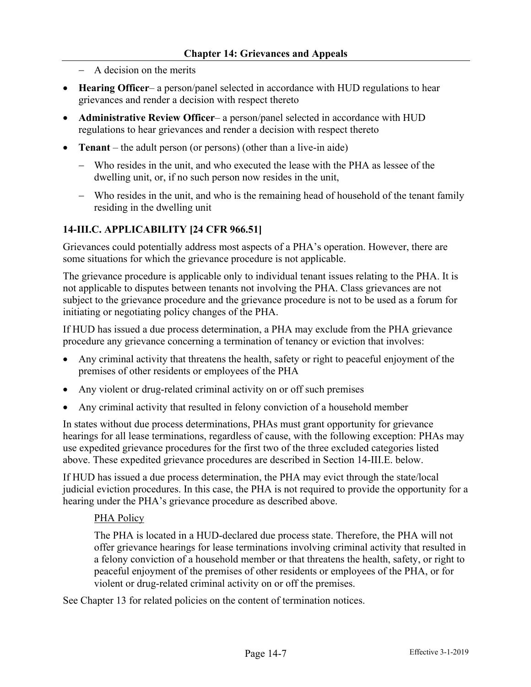- A decision on the merits
- **Hearing Officer** a person/panel selected in accordance with HUD regulations to hear grievances and render a decision with respect thereto
- **Administrative Review Officer** a person/panel selected in accordance with HUD regulations to hear grievances and render a decision with respect thereto
- **Tenant**  the adult person (or persons) (other than a live-in aide)
	- Who resides in the unit, and who executed the lease with the PHA as lessee of the dwelling unit, or, if no such person now resides in the unit,
	- Who resides in the unit, and who is the remaining head of household of the tenant family residing in the dwelling unit

#### **14-III.C. APPLICABILITY [24 CFR 966.51]**

Grievances could potentially address most aspects of a PHA's operation. However, there are some situations for which the grievance procedure is not applicable.

The grievance procedure is applicable only to individual tenant issues relating to the PHA. It is not applicable to disputes between tenants not involving the PHA. Class grievances are not subject to the grievance procedure and the grievance procedure is not to be used as a forum for initiating or negotiating policy changes of the PHA.

If HUD has issued a due process determination, a PHA may exclude from the PHA grievance procedure any grievance concerning a termination of tenancy or eviction that involves:

- Any criminal activity that threatens the health, safety or right to peaceful enjoyment of the premises of other residents or employees of the PHA
- Any violent or drug-related criminal activity on or off such premises
- Any criminal activity that resulted in felony conviction of a household member

In states without due process determinations, PHAs must grant opportunity for grievance hearings for all lease terminations, regardless of cause, with the following exception: PHAs may use expedited grievance procedures for the first two of the three excluded categories listed above. These expedited grievance procedures are described in Section 14-III.E. below.

If HUD has issued a due process determination, the PHA may evict through the state/local judicial eviction procedures. In this case, the PHA is not required to provide the opportunity for a hearing under the PHA's grievance procedure as described above.

#### PHA Policy

The PHA is located in a HUD-declared due process state. Therefore, the PHA will not offer grievance hearings for lease terminations involving criminal activity that resulted in a felony conviction of a household member or that threatens the health, safety, or right to peaceful enjoyment of the premises of other residents or employees of the PHA, or for violent or drug-related criminal activity on or off the premises.

See Chapter 13 for related policies on the content of termination notices.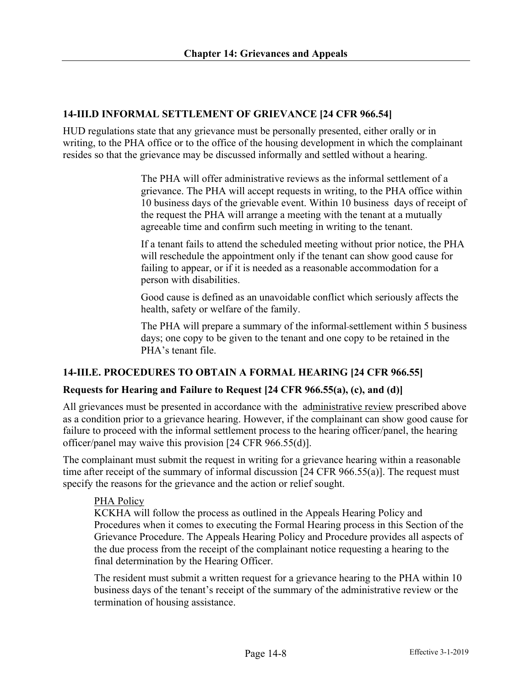### **14-III.D INFORMAL SETTLEMENT OF GRIEVANCE [24 CFR 966.54]**

HUD regulations state that any grievance must be personally presented, either orally or in writing, to the PHA office or to the office of the housing development in which the complainant resides so that the grievance may be discussed informally and settled without a hearing.

> The PHA will offer administrative reviews as the informal settlement of a grievance. The PHA will accept requests in writing, to the PHA office within 10 business days of the grievable event. Within 10 business days of receipt of the request the PHA will arrange a meeting with the tenant at a mutually agreeable time and confirm such meeting in writing to the tenant.

> If a tenant fails to attend the scheduled meeting without prior notice, the PHA will reschedule the appointment only if the tenant can show good cause for failing to appear, or if it is needed as a reasonable accommodation for a person with disabilities.

Good cause is defined as an unavoidable conflict which seriously affects the health, safety or welfare of the family.

The PHA will prepare a summary of the informal settlement within 5 business days; one copy to be given to the tenant and one copy to be retained in the PHA's tenant file.

### **14-III.E. PROCEDURES TO OBTAIN A FORMAL HEARING [24 CFR 966.55]**

### **Requests for Hearing and Failure to Request [24 CFR 966.55(a), (c), and (d)]**

All grievances must be presented in accordance with the administrative review prescribed above as a condition prior to a grievance hearing. However, if the complainant can show good cause for failure to proceed with the informal settlement process to the hearing officer/panel, the hearing officer/panel may waive this provision [24 CFR 966.55(d)].

The complainant must submit the request in writing for a grievance hearing within a reasonable time after receipt of the summary of informal discussion [24 CFR 966.55(a)]. The request must specify the reasons for the grievance and the action or relief sought.

#### PHA Policy

KCKHA will follow the process as outlined in the Appeals Hearing Policy and Procedures when it comes to executing the Formal Hearing process in this Section of the Grievance Procedure. The Appeals Hearing Policy and Procedure provides all aspects of the due process from the receipt of the complainant notice requesting a hearing to the final determination by the Hearing Officer.

The resident must submit a written request for a grievance hearing to the PHA within 10 business days of the tenant's receipt of the summary of the administrative review or the termination of housing assistance.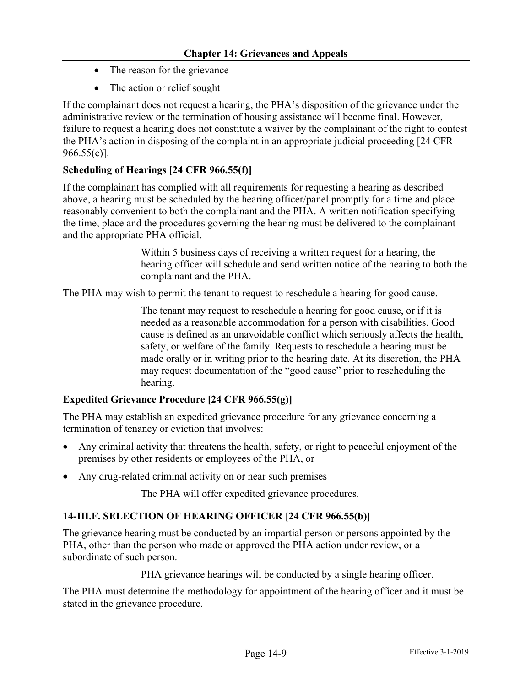- The reason for the grievance
- The action or relief sought

If the complainant does not request a hearing, the PHA's disposition of the grievance under the administrative review or the termination of housing assistance will become final. However, failure to request a hearing does not constitute a waiver by the complainant of the right to contest the PHA's action in disposing of the complaint in an appropriate judicial proceeding [24 CFR 966.55(c)].

### **Scheduling of Hearings [24 CFR 966.55(f)]**

If the complainant has complied with all requirements for requesting a hearing as described above, a hearing must be scheduled by the hearing officer/panel promptly for a time and place reasonably convenient to both the complainant and the PHA. A written notification specifying the time, place and the procedures governing the hearing must be delivered to the complainant and the appropriate PHA official.

> Within 5 business days of receiving a written request for a hearing, the hearing officer will schedule and send written notice of the hearing to both the complainant and the PHA.

The PHA may wish to permit the tenant to request to reschedule a hearing for good cause.

The tenant may request to reschedule a hearing for good cause, or if it is needed as a reasonable accommodation for a person with disabilities. Good cause is defined as an unavoidable conflict which seriously affects the health, safety, or welfare of the family. Requests to reschedule a hearing must be made orally or in writing prior to the hearing date. At its discretion, the PHA may request documentation of the "good cause" prior to rescheduling the hearing.

#### **Expedited Grievance Procedure [24 CFR 966.55(g)]**

The PHA may establish an expedited grievance procedure for any grievance concerning a termination of tenancy or eviction that involves:

- Any criminal activity that threatens the health, safety, or right to peaceful enjoyment of the premises by other residents or employees of the PHA, or
- Any drug-related criminal activity on or near such premises

The PHA will offer expedited grievance procedures.

#### **14-III.F. SELECTION OF HEARING OFFICER [24 CFR 966.55(b)]**

The grievance hearing must be conducted by an impartial person or persons appointed by the PHA, other than the person who made or approved the PHA action under review, or a subordinate of such person.

PHA grievance hearings will be conducted by a single hearing officer.

The PHA must determine the methodology for appointment of the hearing officer and it must be stated in the grievance procedure.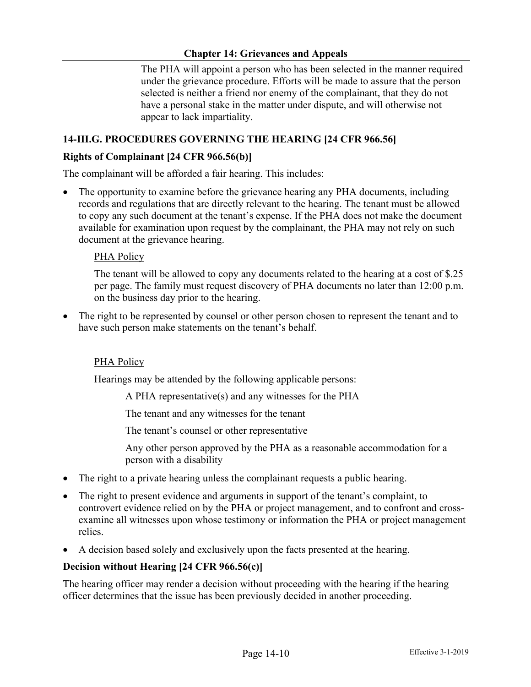The PHA will appoint a person who has been selected in the manner required under the grievance procedure. Efforts will be made to assure that the person selected is neither a friend nor enemy of the complainant, that they do not have a personal stake in the matter under dispute, and will otherwise not appear to lack impartiality.

### **14-III.G. PROCEDURES GOVERNING THE HEARING [24 CFR 966.56]**

#### **Rights of Complainant [24 CFR 966.56(b)]**

The complainant will be afforded a fair hearing. This includes:

The opportunity to examine before the grievance hearing any PHA documents, including records and regulations that are directly relevant to the hearing. The tenant must be allowed to copy any such document at the tenant's expense. If the PHA does not make the document available for examination upon request by the complainant, the PHA may not rely on such document at the grievance hearing.

#### PHA Policy

The tenant will be allowed to copy any documents related to the hearing at a cost of \$.25 per page. The family must request discovery of PHA documents no later than 12:00 p.m. on the business day prior to the hearing.

• The right to be represented by counsel or other person chosen to represent the tenant and to have such person make statements on the tenant's behalf.

### PHA Policy

Hearings may be attended by the following applicable persons:

A PHA representative(s) and any witnesses for the PHA

The tenant and any witnesses for the tenant

The tenant's counsel or other representative

Any other person approved by the PHA as a reasonable accommodation for a person with a disability

- The right to a private hearing unless the complainant requests a public hearing.
- The right to present evidence and arguments in support of the tenant's complaint, to controvert evidence relied on by the PHA or project management, and to confront and crossexamine all witnesses upon whose testimony or information the PHA or project management relies.
- A decision based solely and exclusively upon the facts presented at the hearing.

#### **Decision without Hearing [24 CFR 966.56(c)]**

The hearing officer may render a decision without proceeding with the hearing if the hearing officer determines that the issue has been previously decided in another proceeding.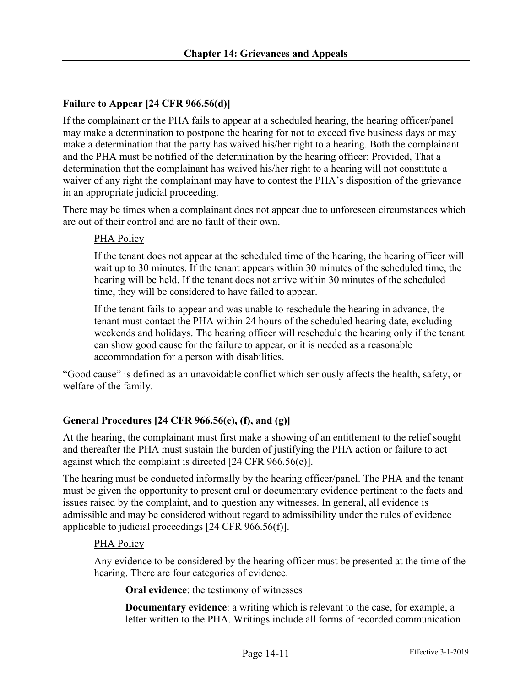## **Failure to Appear [24 CFR 966.56(d)]**

If the complainant or the PHA fails to appear at a scheduled hearing, the hearing officer/panel may make a determination to postpone the hearing for not to exceed five business days or may make a determination that the party has waived his/her right to a hearing. Both the complainant and the PHA must be notified of the determination by the hearing officer: Provided, That a determination that the complainant has waived his/her right to a hearing will not constitute a waiver of any right the complainant may have to contest the PHA's disposition of the grievance in an appropriate judicial proceeding.

There may be times when a complainant does not appear due to unforeseen circumstances which are out of their control and are no fault of their own.

### PHA Policy

If the tenant does not appear at the scheduled time of the hearing, the hearing officer will wait up to 30 minutes. If the tenant appears within 30 minutes of the scheduled time, the hearing will be held. If the tenant does not arrive within 30 minutes of the scheduled time, they will be considered to have failed to appear.

If the tenant fails to appear and was unable to reschedule the hearing in advance, the tenant must contact the PHA within 24 hours of the scheduled hearing date, excluding weekends and holidays. The hearing officer will reschedule the hearing only if the tenant can show good cause for the failure to appear, or it is needed as a reasonable accommodation for a person with disabilities.

"Good cause" is defined as an unavoidable conflict which seriously affects the health, safety, or welfare of the family.

## **General Procedures [24 CFR 966.56(e), (f), and (g)]**

At the hearing, the complainant must first make a showing of an entitlement to the relief sought and thereafter the PHA must sustain the burden of justifying the PHA action or failure to act against which the complaint is directed [24 CFR 966.56(e)].

The hearing must be conducted informally by the hearing officer/panel. The PHA and the tenant must be given the opportunity to present oral or documentary evidence pertinent to the facts and issues raised by the complaint, and to question any witnesses. In general, all evidence is admissible and may be considered without regard to admissibility under the rules of evidence applicable to judicial proceedings [24 CFR 966.56(f)].

### PHA Policy

Any evidence to be considered by the hearing officer must be presented at the time of the hearing. There are four categories of evidence.

**Oral evidence**: the testimony of witnesses

**Documentary evidence**: a writing which is relevant to the case, for example, a letter written to the PHA. Writings include all forms of recorded communication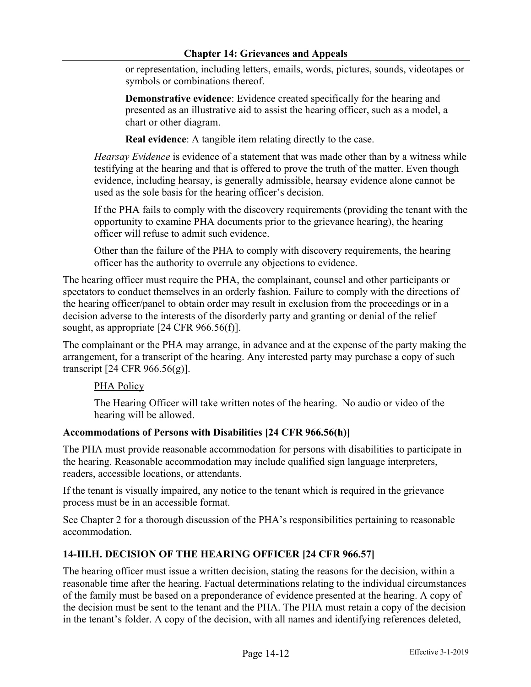or representation, including letters, emails, words, pictures, sounds, videotapes or symbols or combinations thereof.

**Demonstrative evidence**: Evidence created specifically for the hearing and presented as an illustrative aid to assist the hearing officer, such as a model, a chart or other diagram.

**Real evidence**: A tangible item relating directly to the case.

*Hearsay Evidence* is evidence of a statement that was made other than by a witness while testifying at the hearing and that is offered to prove the truth of the matter. Even though evidence, including hearsay, is generally admissible, hearsay evidence alone cannot be used as the sole basis for the hearing officer's decision.

If the PHA fails to comply with the discovery requirements (providing the tenant with the opportunity to examine PHA documents prior to the grievance hearing), the hearing officer will refuse to admit such evidence.

Other than the failure of the PHA to comply with discovery requirements, the hearing officer has the authority to overrule any objections to evidence.

The hearing officer must require the PHA, the complainant, counsel and other participants or spectators to conduct themselves in an orderly fashion. Failure to comply with the directions of the hearing officer/panel to obtain order may result in exclusion from the proceedings or in a decision adverse to the interests of the disorderly party and granting or denial of the relief sought, as appropriate [24 CFR 966.56(f)].

The complainant or the PHA may arrange, in advance and at the expense of the party making the arrangement, for a transcript of the hearing. Any interested party may purchase a copy of such transcript [24 CFR 966.56(g)].

### PHA Policy

The Hearing Officer will take written notes of the hearing. No audio or video of the hearing will be allowed.

### **Accommodations of Persons with Disabilities [24 CFR 966.56(h)]**

The PHA must provide reasonable accommodation for persons with disabilities to participate in the hearing. Reasonable accommodation may include qualified sign language interpreters, readers, accessible locations, or attendants.

If the tenant is visually impaired, any notice to the tenant which is required in the grievance process must be in an accessible format.

See Chapter 2 for a thorough discussion of the PHA's responsibilities pertaining to reasonable accommodation.

### **14-III.H. DECISION OF THE HEARING OFFICER [24 CFR 966.57]**

The hearing officer must issue a written decision, stating the reasons for the decision, within a reasonable time after the hearing. Factual determinations relating to the individual circumstances of the family must be based on a preponderance of evidence presented at the hearing. A copy of the decision must be sent to the tenant and the PHA. The PHA must retain a copy of the decision in the tenant's folder. A copy of the decision, with all names and identifying references deleted,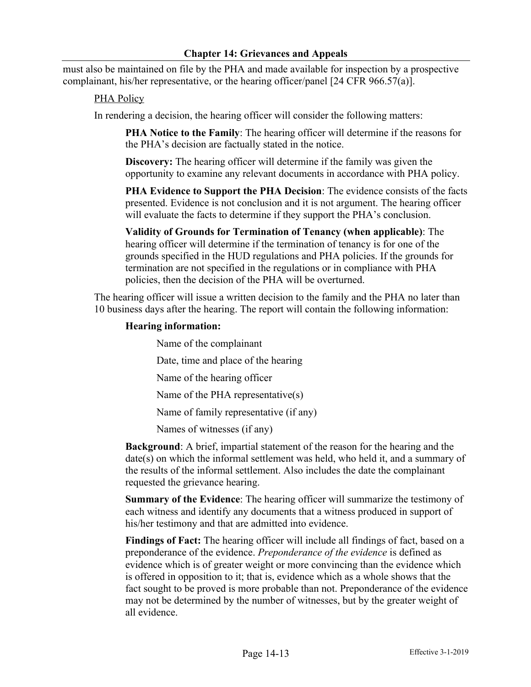must also be maintained on file by the PHA and made available for inspection by a prospective complainant, his/her representative, or the hearing officer/panel [24 CFR 966.57(a)].

### PHA Policy

In rendering a decision, the hearing officer will consider the following matters:

**PHA Notice to the Family**: The hearing officer will determine if the reasons for the PHA's decision are factually stated in the notice.

**Discovery:** The hearing officer will determine if the family was given the opportunity to examine any relevant documents in accordance with PHA policy.

**PHA Evidence to Support the PHA Decision**: The evidence consists of the facts presented. Evidence is not conclusion and it is not argument. The hearing officer will evaluate the facts to determine if they support the PHA's conclusion.

**Validity of Grounds for Termination of Tenancy (when applicable)**: The hearing officer will determine if the termination of tenancy is for one of the grounds specified in the HUD regulations and PHA policies. If the grounds for termination are not specified in the regulations or in compliance with PHA policies, then the decision of the PHA will be overturned.

The hearing officer will issue a written decision to the family and the PHA no later than 10 business days after the hearing. The report will contain the following information:

#### **Hearing information:**

Name of the complainant Date, time and place of the hearing Name of the hearing officer Name of the PHA representative(s)

Name of family representative (if any)

Names of witnesses (if any)

**Background**: A brief, impartial statement of the reason for the hearing and the date(s) on which the informal settlement was held, who held it, and a summary of the results of the informal settlement. Also includes the date the complainant requested the grievance hearing.

**Summary of the Evidence**: The hearing officer will summarize the testimony of each witness and identify any documents that a witness produced in support of his/her testimony and that are admitted into evidence.

**Findings of Fact:** The hearing officer will include all findings of fact, based on a preponderance of the evidence. *Preponderance of the evidence* is defined as evidence which is of greater weight or more convincing than the evidence which is offered in opposition to it; that is, evidence which as a whole shows that the fact sought to be proved is more probable than not. Preponderance of the evidence may not be determined by the number of witnesses, but by the greater weight of all evidence.